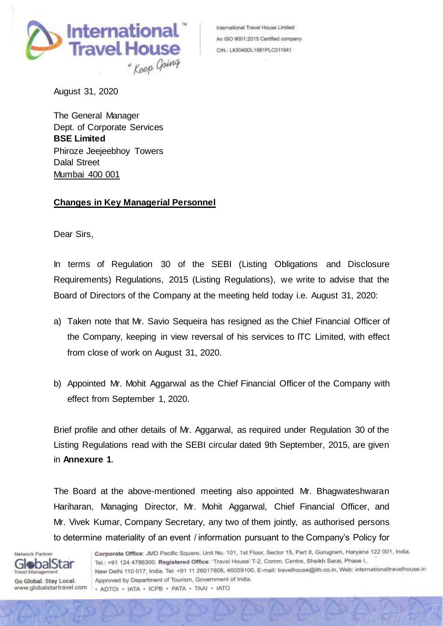

International Travel House Limited An ISO 9001:2015 Certified company CIN.: L63040DL1981PLC011941

August 31, 2020

The General Manager Dept. of Corporate Services **BSE Limited** Phiroze Jeejeebhoy Towers Dalal Street Mumbai 400 001

## **Changes in Key Managerial Personnel**

Dear Sirs,

In terms of Regulation 30 of the SEBI (Listing Obligations and Disclosure Requirements) Regulations, 2015 (Listing Regulations), we write to advise that the Board of Directors of the Company at the meeting held today i.e. August 31, 2020:

- a) Taken note that Mr. Savio Sequeira has resigned as the Chief Financial Officer of the Company, keeping in view reversal of his services to ITC Limited, with effect from close of work on August 31, 2020.
- b) Appointed Mr. Mohit Aggarwal as the Chief Financial Officer of the Company with effect from September 1, 2020.

Brief profile and other details of Mr. Aggarwal, as required under Regulation 30 of the Listing Regulations read with the SEBI circular dated 9th September, 2015, are given in **Annexure 1**.

The Board at the above-mentioned meeting also appointed Mr. Bhagwateshwaran Hariharan, Managing Director, Mr. Mohit Aggarwal, Chief Financial Officer, and Mr. Vivek Kumar, Company Secretary, any two of them jointly, as authorised persons to determine materiality of an event / information pursuant to the Company's Policy for

Network Partner **GlobalStar Travel Management** 

Go Global. Stay Local. www.globalstartravel.com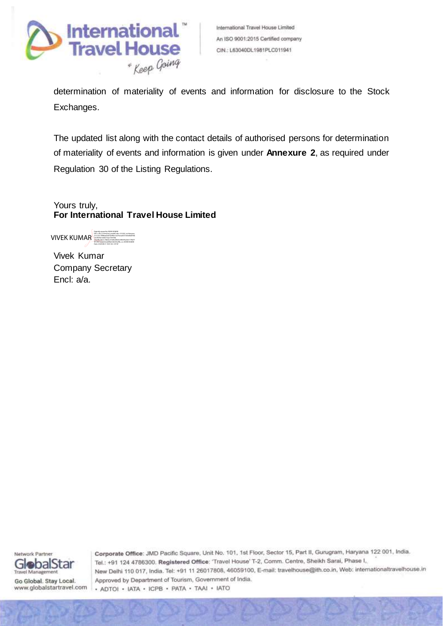

determination of materiality of events and information for disclosure to the Stock Exchanges.

The updated list along with the contact details of authorised persons for determination of materiality of events and information is given under **Annexure 2**, as required under Regulation 30 of the Listing Regulations.

Yours truly, **For International Travel House Limited**

VIVEK KUMAR Digitally signed by VIVEK KUMAR DN: c=IN, o=Personal, postalCode=121002, st=Haryana, 2.5.4.20=7f8f0aa64d7de9fee1a674cea2f21545d06df76b 1dc9039a1d2de15aa1769768, serialNumber=9b6dccf1d3b449e0e5f0495a5261778e7f 9f199572ebd23cdd5fb2346335af9b, cn=VIVEK KUMAR Date: 2020.08.31 18:01:06 +05'30'

Vivek Kumar Company Secretary Encl: a/a.



Go Global. Stay Local. www.globalstartravel.com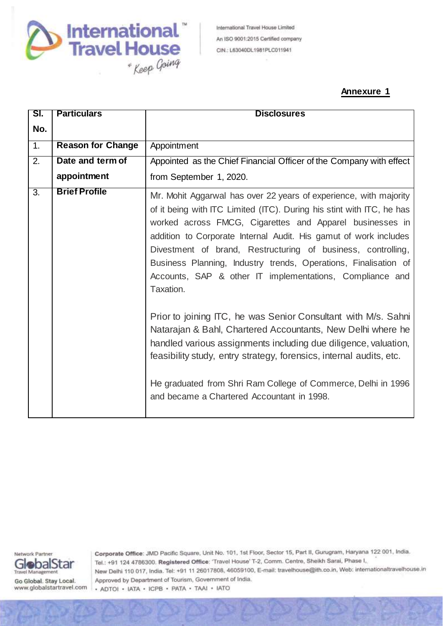

International Travel House Limited An ISO 9001:2015 Certified company CIN.: L63040DL1981PLC011941

## **Annexure 1**

| SI. | <b>Particulars</b><br><b>Disclosures</b> |                                                                                                                                                                                                                                                                                                                                                                                                                                                                                                                                                                                                                                                                                                                                                                                                                                    |  |  |
|-----|------------------------------------------|------------------------------------------------------------------------------------------------------------------------------------------------------------------------------------------------------------------------------------------------------------------------------------------------------------------------------------------------------------------------------------------------------------------------------------------------------------------------------------------------------------------------------------------------------------------------------------------------------------------------------------------------------------------------------------------------------------------------------------------------------------------------------------------------------------------------------------|--|--|
| No. |                                          |                                                                                                                                                                                                                                                                                                                                                                                                                                                                                                                                                                                                                                                                                                                                                                                                                                    |  |  |
| 1.  | <b>Reason for Change</b>                 | Appointment                                                                                                                                                                                                                                                                                                                                                                                                                                                                                                                                                                                                                                                                                                                                                                                                                        |  |  |
| 2.  | Date and term of                         | Appointed as the Chief Financial Officer of the Company with effect                                                                                                                                                                                                                                                                                                                                                                                                                                                                                                                                                                                                                                                                                                                                                                |  |  |
|     | appointment                              | from September 1, 2020.                                                                                                                                                                                                                                                                                                                                                                                                                                                                                                                                                                                                                                                                                                                                                                                                            |  |  |
| 3.  | <b>Brief Profile</b>                     | Mr. Mohit Aggarwal has over 22 years of experience, with majority<br>of it being with ITC Limited (ITC). During his stint with ITC, he has<br>worked across FMCG, Cigarettes and Apparel businesses in<br>addition to Corporate Internal Audit. His gamut of work includes<br>Divestment of brand, Restructuring of business, controlling,<br>Business Planning, Industry trends, Operations, Finalisation of<br>Accounts, SAP & other IT implementations, Compliance and<br>Taxation.<br>Prior to joining ITC, he was Senior Consultant with M/s. Sahni<br>Natarajan & Bahl, Chartered Accountants, New Delhi where he<br>handled various assignments including due diligence, valuation,<br>feasibility study, entry strategy, forensics, internal audits, etc.<br>He graduated from Shri Ram College of Commerce, Delhi in 1996 |  |  |
|     |                                          | and became a Chartered Accountant in 1998.                                                                                                                                                                                                                                                                                                                                                                                                                                                                                                                                                                                                                                                                                                                                                                                         |  |  |

Network Partner GlobalStar **Travel Management** 

Go Global. Stay Local. www.globalstartravel.com